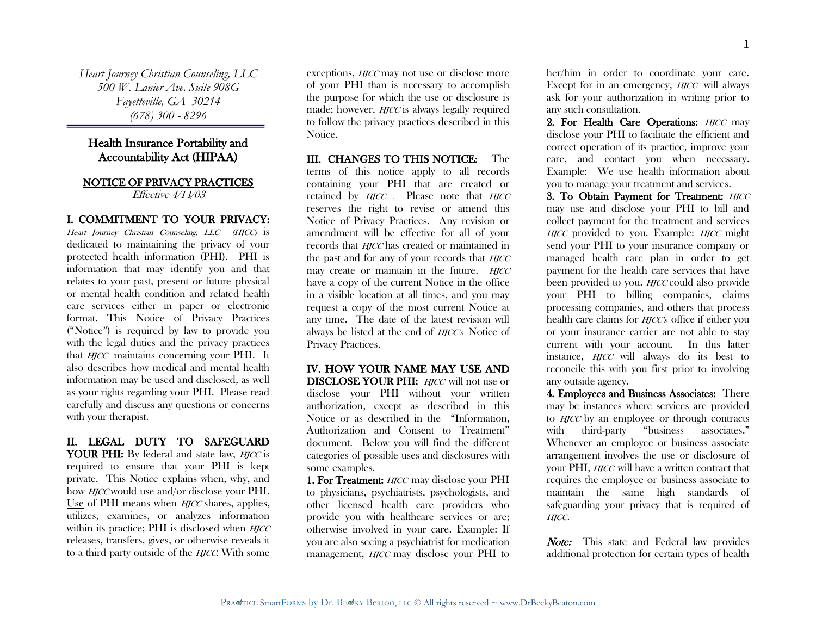*Heart Journey Christian Counseling, LLC 500 W. Lanier Ave, Suite 908G Fayetteville, GA 30214 (678) 300 - 8296*

# Health Insurance Portability and Accountability Act (HIPAA)

# NOTICE OF PRIVACY PRACTICES

Effective  $4/14/03$ 

#### I. COMMITMENT TO YOUR PRIVACY:

Heart Journey Christian Counseling, LLC (HJCC) is dedicated to maintaining the privacy of your protected health information (PHI). PHI is information that may identify you and that relates to your past, present or future physical or mental health condition and related health care services either in paper or electronic format. This Notice of Privacy Practices ("Notice") is required by law to provide you with the legal duties and the privacy practices that *HJCC* maintains concerning your PHI. It also describes how medical and mental health information may be used and disclosed, as well as your rights regarding your PHI. Please read carefully and discuss any questions or concerns with your therapist.

## II. LEGAL DUTY TO SAFEGUARD **YOUR PHI:** By federal and state law, *HJCC* is required to ensure that your PHI is kept private. This Notice explains when, why, and how *HJCC* would use and/or disclose your PHI. Use of PHI means when *HJCC* shares, applies,

utilizes, examines, or analyzes information within its practice; PHI is disclosed when  $H\!J\!C\!C$ releases, transfers, gives, or otherwise reveals it to a third party outside of the *HJCC*. With some

exceptions, *HJCC* may not use or disclose more of your PHI than is necessary to accomplish the purpose for which the use or disclosure is made; however, *HJCC* is always legally required to follow the privacy practices described in this Notice.

III. CHANGES TO THIS NOTICE: The terms of this notice apply to all records containing your PHI that are created or retained by  $H\!I\!C\!C$ . Please note that  $H\!I\!C\!C$ reserves the right to revise or amend this Notice of Privacy Practices. Any revision or amendment will be effective for all of your records that *HJCC* has created or maintained in the past and for any of your records that  $H\!J\!C\!C$ may create or maintain in the future.  $HICC$ have a copy of the current Notice in the office in a visible location at all times, and you may request a copy of the most current Notice at any time. The date of the latest revision will always be listed at the end of *HICC*'s Notice of Privacy Practices.

## IV. HOW YOUR NAME MAY USE AND DISCLOSE YOUR PHI: *HICC* will not use or disclose your PHI without your written authorization, except as described in this Notice or as described in the "Information, Authorization and Consent to Treatment" document. Below you will find the different categories of possible uses and disclosures with some examples.

1. For Treatment: *HJCC* may disclose your PHI to physicians, psychiatrists, psychologists, and other licensed health care providers who provide you with healthcare services or are; otherwise involved in your care. Example: If you are also seeing a psychiatrist for medication management, *HJCC* may disclose your PHI to her/him in order to coordinate your care. Except for in an emergency, *HJCC* will always ask for your authorization in writing prior to any such consultation.

2. For Health Care Operations: **HJCC** may disclose your PHI to facilitate the efficient and correct operation of its practice, improve your care, and contact you when necessary. Example: We use health information about you to manage your treatment and services.

3. To Obtain Payment for Treatment: HJCC may use and disclose your PHI to bill and collect payment for the treatment and services  $HJCC$  provided to you. Example:  $HJCC$  might send your PHI to your insurance company or managed health care plan in order to get payment for the health care services that have been provided to you. *HJCC* could also provide your PHI to billing companies, claims processing companies, and others that process health care claims for *HJCC*'s office if either you or your insurance carrier are not able to stay current with your account. In this latter instance, *HJCC* will always do its best to reconcile this with you first prior to involving any outside agency.

4. Employees and Business Associates: There may be instances where services are provided to *HJCC* by an employee or through contracts with third-party "business associates." Whenever an employee or business associate arrangement involves the use or disclosure of your PHI, *HJCC* will have a written contract that requires the employee or business associate to maintain the same high standards of safeguarding your privacy that is required of HJCC.

Note: This state and Federal law provides additional protection for certain types of health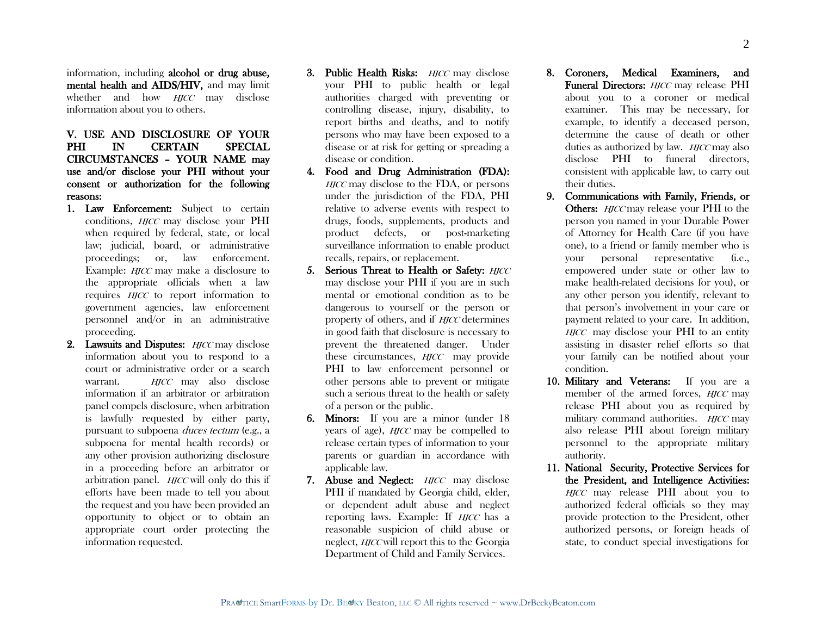information, including alcohol or drug abuse, mental health and AIDS/HIV, and may limit whether and how *HJCC* may disclose information about you to others.

# V. USE AND DISCLOSURE OF YOUR PHI IN CERTAIN SPECIAL CIRCUMSTANCES – YOUR NAME may use and/or disclose your PHI without your consent or authorization for the following reasons:

- 1. Law Enforcement: Subject to certain conditions, *HJCC* may disclose your PHI when required by federal, state, or local law; judicial, board, or administrative proceedings; or, law enforcement. Example: *HICC* may make a disclosure to the appropriate officials when a law requires *HICC* to report information to government agencies, law enforcement personnel and/or in an administrative proceeding.
- 2. Lawsuits and Disputes:  $HJCC$  may disclose information about you to respond to a court or administrative order or a search warrant. *HICC* may also disclose information if an arbitrator or arbitration panel compels disclosure, when arbitration is lawfully requested by either party, pursuant to subpoena *duces tectum* (e.g., a subpoena for mental health records) or any other provision authorizing disclosure in a proceeding before an arbitrator or arbitration panel.  $H\!T\!CC$  will only do this if efforts have been made to tell you about the request and you have been provided an opportunity to object or to obtain an appropriate court order protecting the information requested.
- 3. Public Health Risks:  $H\!I\!fCC$  may disclose your PHI to public health or legal authorities charged with preventing or controlling disease, injury, disability, to report births and deaths, and to notify persons who may have been exposed to a disease or at risk for getting or spreading a disease or condition.
- 4. Food and Drug Administration (FDA):  $HICC$  may disclose to the FDA, or persons under the jurisdiction of the FDA, PHI relative to adverse events with respect to drugs, foods, supplements, products and product defects, or post-marketing surveillance information to enable product recalls, repairs, or replacement.
- 5. Serious Threat to Health or Safety: HJCC may disclose your PHI if you are in such mental or emotional condition as to be dangerous to yourself or the person or property of others, and if *HICC* determines in good faith that disclosure is necessary to prevent the threatened danger. Under these circumstances, *HJCC* may provide PHI to law enforcement personnel or other persons able to prevent or mitigate such a serious threat to the health or safety of a person or the public.
- 6. Minors: If you are a minor (under 18 years of age), *HJCC* may be compelled to release certain types of information to your parents or guardian in accordance with applicable law.
- 7. Abuse and Neglect: *HJCC* may disclose PHI if mandated by Georgia child, elder, or dependent adult abuse and neglect reporting laws. Example: If *HJCC* has a reasonable suspicion of child abuse or neglect, HJCC will report this to the Georgia Department of Child and Family Services.
- 8. Coroners, Medical Examiners, and Funeral Directors: **HJCC** may release PHI about you to a coroner or medical examiner. This may be necessary, for example, to identify a deceased person, determine the cause of death or other duties as authorized by law. *HICC* may also disclose PHI to funeral directors, consistent with applicable law, to carry out their duties.
- 9. Communications with Family, Friends, or Others: *HJCC* may release your PHI to the person you named in your Durable Power of Attorney for Health Care (if you have one), to a friend or family member who is your personal representative (i.e., empowered under state or other law to make health-related decisions for you), or any other person you identify, relevant to that person"s involvement in your care or payment related to your care. In addition,  $HJCC$  may disclose your PHI to an entity assisting in disaster relief efforts so that your family can be notified about your condition.
- 10. Military and Veterans: If you are a member of the armed forces, *HICC* may release PHI about you as required by military command authorities. *HICC* may also release PHI about foreign military personnel to the appropriate military authority.
- 11. National Security, Protective Services for the President, and Intelligence Activities: HJCC may release PHI about you to authorized federal officials so they may provide protection to the President, other authorized persons, or foreign heads of state, to conduct special investigations for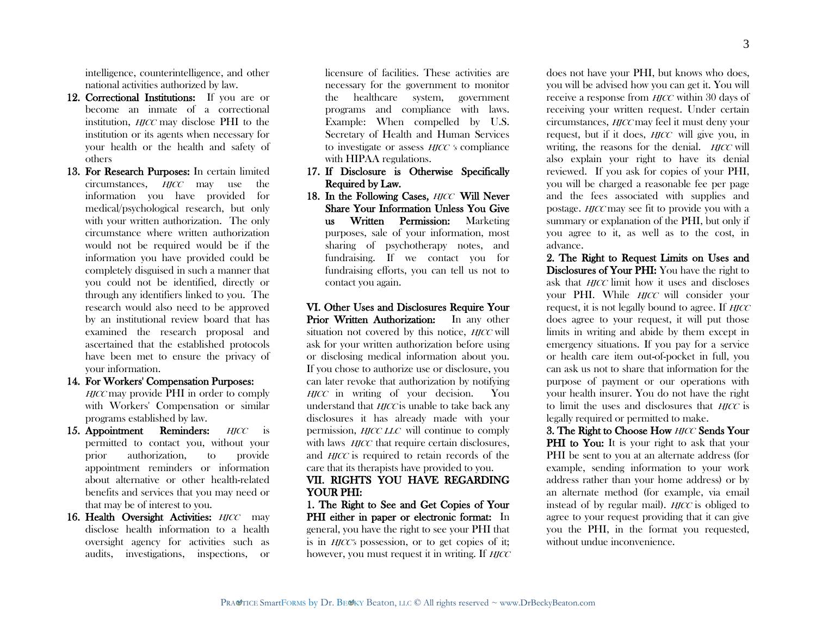intelligence, counterintelligence, and other national activities authorized by law.

- 12. Correctional Institutions: If you are or become an inmate of a correctional institution. *HICC* may disclose PHI to the institution or its agents when necessary for your health or the health and safety of others
- 13. For Research Purposes: In certain limited circumstances, HJCC may use the information you have provided for medical/psychological research, but only with your written authorization. The only circumstance where written authorization would not be required would be if the information you have provided could be completely disguised in such a manner that you could not be identified, directly or through any identifiers linked to you. The research would also need to be approved by an institutional review board that has examined the research proposal and ascertained that the established protocols have been met to ensure the privacy of your information.
- 14. For Workers' Compensation Purposes:

HJCC may provide PHI in order to comply with Workers' Compensation or similar programs established by law.

- 15. Appointment Reminders: *HJCC* is permitted to contact you, without your prior authorization, to provide appointment reminders or information about alternative or other health-related benefits and services that you may need or that may be of interest to you.
- 16. Health Oversight Activities: HJCC may disclose health information to a health oversight agency for activities such as audits, investigations, inspections, or

licensure of facilities. These activities are necessary for the government to monitor the healthcare system, government programs and compliance with laws. Example: When compelled by U.S. Secretary of Health and Human Services to investigate or assess *HICC* 's compliance with HIPAA regulations.

- 17. If Disclosure is Otherwise Specifically Required by Law.
- 18. In the Following Cases, *HJCC* Will Never Share Your Information Unless You Give us Written Permission: Marketing purposes, sale of your information, most sharing of psychotherapy notes, and fundraising. If we contact you for fundraising efforts, you can tell us not to contact you again.

VI. Other Uses and Disclosures Require Your Prior Written Authorization: In any other situation not covered by this notice, *HICC* will ask for your written authorization before using or disclosing medical information about you. If you chose to authorize use or disclosure, you can later revoke that authorization by notifying HJCC in writing of your decision. You understand that  $H\!J\!C\!C$  is unable to take back any disclosures it has already made with your permission, HJCC LLC will continue to comply with laws *HJCC* that require certain disclosures, and *HJCC* is required to retain records of the care that its therapists have provided to you.

## VII. RIGHTS YOU HAVE REGARDING YOUR PHI:

1. The Right to See and Get Copies of Your PHI either in paper or electronic format: In general, you have the right to see your PHI that is in HJCC"s possession, or to get copies of it; however, you must request it in writing. If HICC

does not have your PHI, but knows who does, you will be advised how you can get it. You will receive a response from *HJCC* within 30 days of receiving your written request. Under certain circumstances, HJCC may feel it must deny your request, but if it does, *HJCC* will give you, in writing, the reasons for the denial.  $H\!I\!C\!C$  will also explain your right to have its denial reviewed. If you ask for copies of your PHI, you will be charged a reasonable fee per page and the fees associated with supplies and postage. *HICC* may see fit to provide you with a summary or explanation of the PHI, but only if you agree to it, as well as to the cost, in advance.

2. The Right to Request Limits on Uses and Disclosures of Your PHI: You have the right to ask that *HICC* limit how it uses and discloses your PHI. While *HICC* will consider your request, it is not legally bound to agree. If HJCC does agree to your request, it will put those limits in writing and abide by them except in emergency situations. If you pay for a service or health care item out-of-pocket in full, you can ask us not to share that information for the purpose of payment or our operations with your health insurer. You do not have the right to limit the uses and disclosures that *HICC* is legally required or permitted to make.

3. The Right to Choose How HJCC Sends Your **PHI** to You: It is your right to ask that your PHI be sent to you at an alternate address (for example, sending information to your work address rather than your home address) or by an alternate method (for example, via email instead of by regular mail). *HJCC* is obliged to agree to your request providing that it can give you the PHI, in the format you requested, without undue inconvenience.